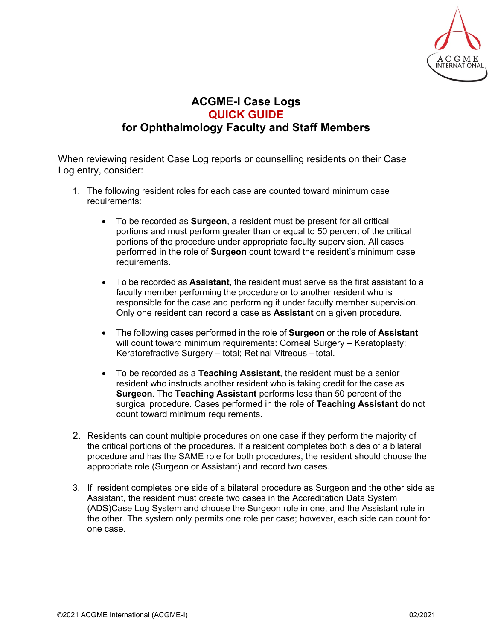

## **ACGME-I Case Logs QUICK GUIDE for Ophthalmology Faculty and Staff Members**

When reviewing resident Case Log reports or counselling residents on their Case Log entry, consider:

- 1. The following resident roles for each case are counted toward minimum case requirements:
	- To be recorded as **Surgeon**, a resident must be present for all critical portions and must perform greater than or equal to 50 percent of the critical portions of the procedure under appropriate faculty supervision. All cases performed in the role of **Surgeon** count toward the resident's minimum case requirements.
	- To be recorded as **Assistant**, the resident must serve as the first assistant to a faculty member performing the procedure or to another resident who is responsible for the case and performing it under faculty member supervision. Only one resident can record a case as **Assistant** on a given procedure.
	- The following cases performed in the role of **Surgeon** or the role of **Assistant** will count toward minimum requirements: Corneal Surgery - Keratoplasty; Keratorefractive Surgery – total; Retinal Vitreous – total.
	- To be recorded as a **Teaching Assistant**, the resident must be a senior resident who instructs another resident who is taking credit for the case as **Surgeon**. The **Teaching Assistant** performs less than 50 percent of the surgical procedure. Cases performed in the role of **Teaching Assistant** do not count toward minimum requirements.
- 2. Residents can count multiple procedures on one case if they perform the majority of the critical portions of the procedures. If a resident completes both sides of a bilateral procedure and has the SAME role for both procedures, the resident should choose the appropriate role (Surgeon or Assistant) and record two cases.
- 3. If resident completes one side of a bilateral procedure as Surgeon and the other side as Assistant, the resident must create two cases in the Accreditation Data System (ADS)Case Log System and choose the Surgeon role in one, and the Assistant role in the other. The system only permits one role per case; however, each side can count for one case.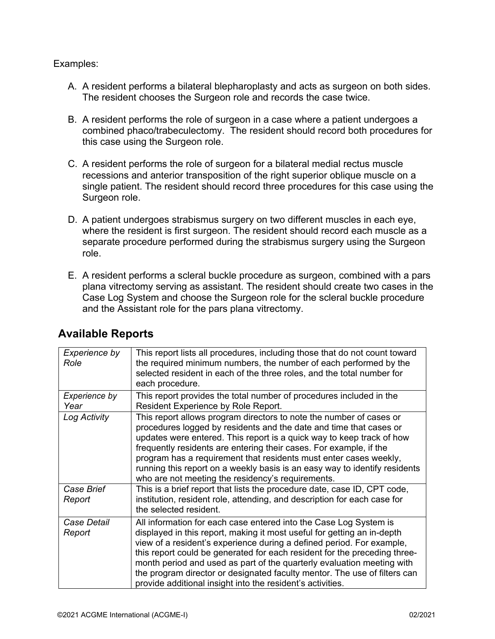## Examples:

- A. A resident performs a bilateral blepharoplasty and acts as surgeon on both sides. The resident chooses the Surgeon role and records the case twice.
- B. A resident performs the role of surgeon in a case where a patient undergoes a combined phaco/trabeculectomy. The resident should record both procedures for this case using the Surgeon role.
- C. A resident performs the role of surgeon for a bilateral medial rectus muscle recessions and anterior transposition of the right superior oblique muscle on a single patient. The resident should record three procedures for this case using the Surgeon role.
- D. A patient undergoes strabismus surgery on two different muscles in each eye, where the resident is first surgeon. The resident should record each muscle as a separate procedure performed during the strabismus surgery using the Surgeon role.
- E. A resident performs a scleral buckle procedure as surgeon, combined with a pars plana vitrectomy serving as assistant. The resident should create two cases in the Case Log System and choose the Surgeon role for the scleral buckle procedure and the Assistant role for the pars plana vitrectomy.

| Experience by<br>Role | This report lists all procedures, including those that do not count toward<br>the required minimum numbers, the number of each performed by the<br>selected resident in each of the three roles, and the total number for<br>each procedure.                                                                                                                                                                                                                                                                            |
|-----------------------|-------------------------------------------------------------------------------------------------------------------------------------------------------------------------------------------------------------------------------------------------------------------------------------------------------------------------------------------------------------------------------------------------------------------------------------------------------------------------------------------------------------------------|
| Experience by<br>Year | This report provides the total number of procedures included in the<br>Resident Experience by Role Report.                                                                                                                                                                                                                                                                                                                                                                                                              |
| Log Activity          | This report allows program directors to note the number of cases or<br>procedures logged by residents and the date and time that cases or<br>updates were entered. This report is a quick way to keep track of how<br>frequently residents are entering their cases. For example, if the<br>program has a requirement that residents must enter cases weekly,<br>running this report on a weekly basis is an easy way to identify residents<br>who are not meeting the residency's requirements.                        |
| Case Brief<br>Report  | This is a brief report that lists the procedure date, case ID, CPT code,<br>institution, resident role, attending, and description for each case for<br>the selected resident.                                                                                                                                                                                                                                                                                                                                          |
| Case Detail<br>Report | All information for each case entered into the Case Log System is<br>displayed in this report, making it most useful for getting an in-depth<br>view of a resident's experience during a defined period. For example,<br>this report could be generated for each resident for the preceding three-<br>month period and used as part of the quarterly evaluation meeting with<br>the program director or designated faculty mentor. The use of filters can<br>provide additional insight into the resident's activities. |

## **Available Reports**